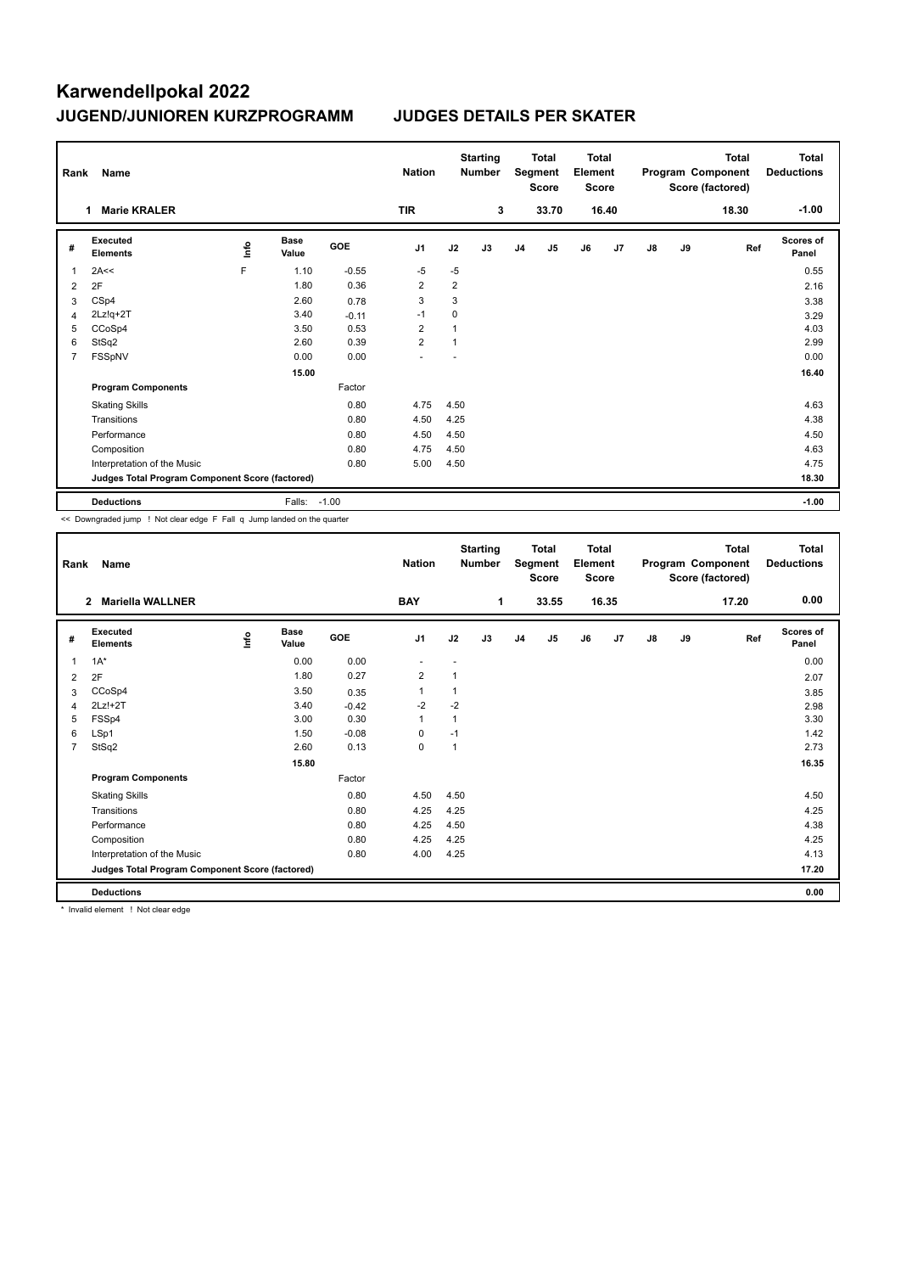## **Karwendellpokal 2022 JUGEND/JUNIOREN KURZPROGRAMM JUDGES DETAILS PER SKATER**

| Rank                                            | Name                        |             |                      |            | <b>Nation</b>  |                | <b>Starting</b><br><b>Number</b> |                | <b>Total</b><br>Segment<br><b>Score</b> | Total<br>Element<br><b>Score</b> |       |               |    | <b>Total</b><br>Program Component<br>Score (factored) | <b>Total</b><br><b>Deductions</b> |
|-------------------------------------------------|-----------------------------|-------------|----------------------|------------|----------------|----------------|----------------------------------|----------------|-----------------------------------------|----------------------------------|-------|---------------|----|-------------------------------------------------------|-----------------------------------|
|                                                 | <b>Marie KRALER</b><br>1    |             |                      |            | <b>TIR</b>     |                | 3                                |                | 33.70                                   |                                  | 16.40 |               |    | 18.30                                                 | $-1.00$                           |
| #                                               | Executed<br><b>Elements</b> | <u>info</u> | <b>Base</b><br>Value | <b>GOE</b> | J1             | J2             | J3                               | J <sub>4</sub> | J5                                      | J6                               | J7    | $\mathsf{J}8$ | J9 | Ref                                                   | <b>Scores of</b><br>Panel         |
| 1                                               | 2A<<                        | F           | 1.10                 | $-0.55$    | $-5$           | $-5$           |                                  |                |                                         |                                  |       |               |    |                                                       | 0.55                              |
| 2                                               | 2F                          |             | 1.80                 | 0.36       | $\overline{2}$ | $\overline{2}$ |                                  |                |                                         |                                  |       |               |    |                                                       | 2.16                              |
| 3                                               | CSp4                        |             | 2.60                 | 0.78       | 3              | 3              |                                  |                |                                         |                                  |       |               |    |                                                       | 3.38                              |
| 4                                               | $2Lz!q+2T$                  |             | 3.40                 | $-0.11$    | $-1$           | 0              |                                  |                |                                         |                                  |       |               |    |                                                       | 3.29                              |
| 5                                               | CCoSp4                      |             | 3.50                 | 0.53       | $\overline{2}$ |                |                                  |                |                                         |                                  |       |               |    |                                                       | 4.03                              |
| 6                                               | StSq2                       |             | 2.60                 | 0.39       | $\overline{2}$ | 1              |                                  |                |                                         |                                  |       |               |    |                                                       | 2.99                              |
| $\overline{7}$                                  | <b>FSSpNV</b>               |             | 0.00                 | 0.00       |                |                |                                  |                |                                         |                                  |       |               |    |                                                       | 0.00                              |
|                                                 |                             |             | 15.00                |            |                |                |                                  |                |                                         |                                  |       |               |    |                                                       | 16.40                             |
|                                                 | <b>Program Components</b>   |             |                      | Factor     |                |                |                                  |                |                                         |                                  |       |               |    |                                                       |                                   |
|                                                 | <b>Skating Skills</b>       |             |                      | 0.80       | 4.75           | 4.50           |                                  |                |                                         |                                  |       |               |    |                                                       | 4.63                              |
|                                                 | Transitions                 |             |                      | 0.80       | 4.50           | 4.25           |                                  |                |                                         |                                  |       |               |    |                                                       | 4.38                              |
|                                                 | Performance                 |             |                      | 0.80       | 4.50           | 4.50           |                                  |                |                                         |                                  |       |               |    |                                                       | 4.50                              |
|                                                 | Composition                 |             |                      | 0.80       | 4.75           | 4.50           |                                  |                |                                         |                                  |       |               |    |                                                       | 4.63                              |
|                                                 | Interpretation of the Music |             |                      | 0.80       | 5.00           | 4.50           |                                  |                |                                         |                                  |       |               |    |                                                       | 4.75                              |
| Judges Total Program Component Score (factored) |                             |             |                      |            |                |                |                                  |                |                                         |                                  | 18.30 |               |    |                                                       |                                   |
|                                                 | <b>Deductions</b>           |             | Falls: -1.00         |            |                |                |                                  |                |                                         |                                  |       |               |    |                                                       | $-1.00$                           |

<< Downgraded jump ! Not clear edge F Fall q Jump landed on the quarter

| Rank           | <b>Name</b>                                     |      |                      |            | <b>Nation</b>  |              | <b>Starting</b><br><b>Number</b> |                | <b>Total</b><br>Segment<br><b>Score</b> | <b>Total</b><br>Element<br><b>Score</b> |       |    |    | <b>Total</b><br>Program Component<br>Score (factored) | <b>Total</b><br><b>Deductions</b> |
|----------------|-------------------------------------------------|------|----------------------|------------|----------------|--------------|----------------------------------|----------------|-----------------------------------------|-----------------------------------------|-------|----|----|-------------------------------------------------------|-----------------------------------|
|                | <b>Mariella WALLNER</b><br>$\mathbf{2}$         |      |                      |            | <b>BAY</b>     |              | 1                                |                | 33.55                                   |                                         | 16.35 |    |    | 17.20                                                 | 0.00                              |
| #              | Executed<br><b>Elements</b>                     | ١nf٥ | <b>Base</b><br>Value | <b>GOE</b> | J <sub>1</sub> | J2           | J3                               | J <sub>4</sub> | J <sub>5</sub>                          | J6                                      | J7    | J8 | J9 | Ref                                                   | <b>Scores of</b><br>Panel         |
| 1              | $1A^*$                                          |      | 0.00                 | 0.00       | ٠              | ٠            |                                  |                |                                         |                                         |       |    |    |                                                       | 0.00                              |
| 2              | 2F                                              |      | 1.80                 | 0.27       | $\overline{2}$ | $\mathbf{1}$ |                                  |                |                                         |                                         |       |    |    |                                                       | 2.07                              |
| 3              | CCoSp4                                          |      | 3.50                 | 0.35       |                | 1            |                                  |                |                                         |                                         |       |    |    |                                                       | 3.85                              |
| 4              | 2Lz!+2T                                         |      | 3.40                 | $-0.42$    | $-2$           | $-2$         |                                  |                |                                         |                                         |       |    |    |                                                       | 2.98                              |
| 5              | FSSp4                                           |      | 3.00                 | 0.30       | $\overline{1}$ | 1            |                                  |                |                                         |                                         |       |    |    |                                                       | 3.30                              |
| 6              | LSp1                                            |      | 1.50                 | $-0.08$    | 0              | $-1$         |                                  |                |                                         |                                         |       |    |    |                                                       | 1.42                              |
| $\overline{7}$ | StSq2                                           |      | 2.60                 | 0.13       | $\mathbf 0$    | $\mathbf{1}$ |                                  |                |                                         |                                         |       |    |    |                                                       | 2.73                              |
|                |                                                 |      | 15.80                |            |                |              |                                  |                |                                         |                                         |       |    |    |                                                       | 16.35                             |
|                | <b>Program Components</b>                       |      |                      | Factor     |                |              |                                  |                |                                         |                                         |       |    |    |                                                       |                                   |
|                | <b>Skating Skills</b>                           |      |                      | 0.80       | 4.50           | 4.50         |                                  |                |                                         |                                         |       |    |    |                                                       | 4.50                              |
|                | Transitions                                     |      |                      | 0.80       | 4.25           | 4.25         |                                  |                |                                         |                                         |       |    |    |                                                       | 4.25                              |
|                | Performance                                     |      |                      | 0.80       | 4.25           | 4.50         |                                  |                |                                         |                                         |       |    |    |                                                       | 4.38                              |
|                | Composition                                     |      |                      | 0.80       | 4.25           | 4.25         |                                  |                |                                         |                                         |       |    |    |                                                       | 4.25                              |
|                | Interpretation of the Music                     |      |                      | 0.80       | 4.00           | 4.25         |                                  |                |                                         |                                         |       |    |    |                                                       | 4.13                              |
|                | Judges Total Program Component Score (factored) |      |                      |            |                |              |                                  |                |                                         |                                         |       |    |    |                                                       | 17.20                             |
|                | <b>Deductions</b>                               |      |                      |            |                |              |                                  |                |                                         |                                         |       |    |    |                                                       | 0.00                              |

\* Invalid element ! Not clear edge